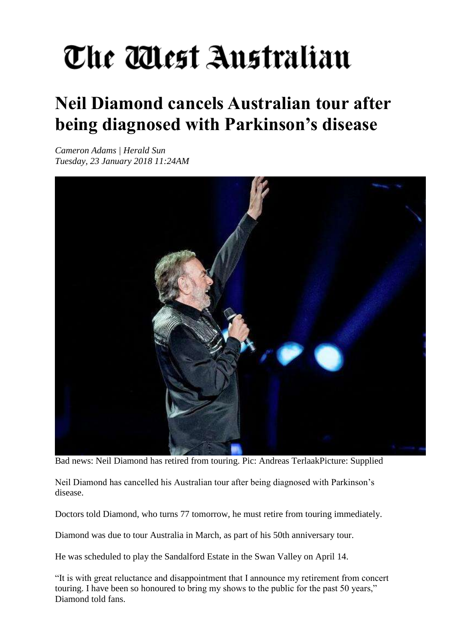## The Mest Australian

## **Neil Diamond cancels Australian tour after being diagnosed with Parkinson's disease**

*Cameron Adams | Herald Sun Tuesday, 23 January 2018 11:24AM* 



Bad news: Neil Diamond has retired from touring. Pic: Andreas TerlaakPicture: Supplied

Neil Diamond has cancelled his Australian tour after being diagnosed with Parkinson's disease.

Doctors told Diamond, who turns 77 tomorrow, he must retire from touring immediately.

Diamond was due to tour Australia in March, as part of his 50th anniversary tour.

He was scheduled to play the Sandalford Estate in the Swan Valley on April 14.

"It is with great reluctance and disappointment that I announce my retirement from concert touring. I have been so honoured to bring my shows to the public for the past 50 years," Diamond told fans.